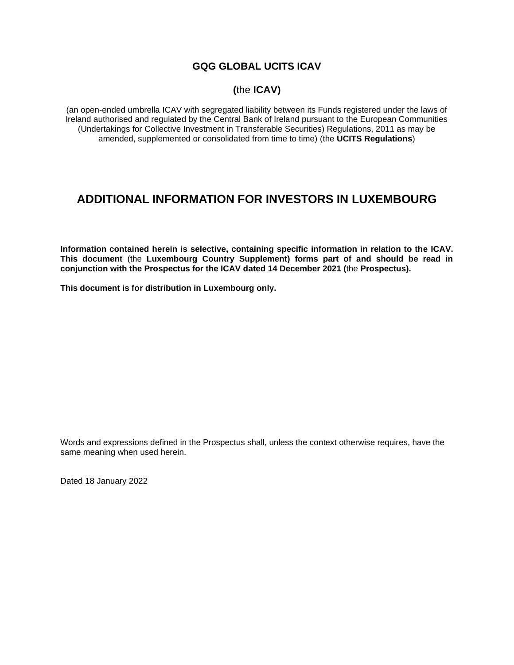# **GQG GLOBAL UCITS ICAV**

# **(**the **ICAV)**

(an open-ended umbrella ICAV with segregated liability between its Funds registered under the laws of Ireland authorised and regulated by the Central Bank of Ireland pursuant to the European Communities (Undertakings for Collective Investment in Transferable Securities) Regulations, 2011 as may be amended, supplemented or consolidated from time to time) (the **UCITS Regulations**)

# **ADDITIONAL INFORMATION FOR INVESTORS IN LUXEMBOURG**

**Information contained herein is selective, containing specific information in relation to the ICAV. This document** (the **Luxembourg Country Supplement) forms part of and should be read in conjunction with the Prospectus for the ICAV dated 14 December 2021 (**the **Prospectus).**

**This document is for distribution in Luxembourg only.**

Words and expressions defined in the Prospectus shall, unless the context otherwise requires, have the same meaning when used herein.

Dated 18 January 2022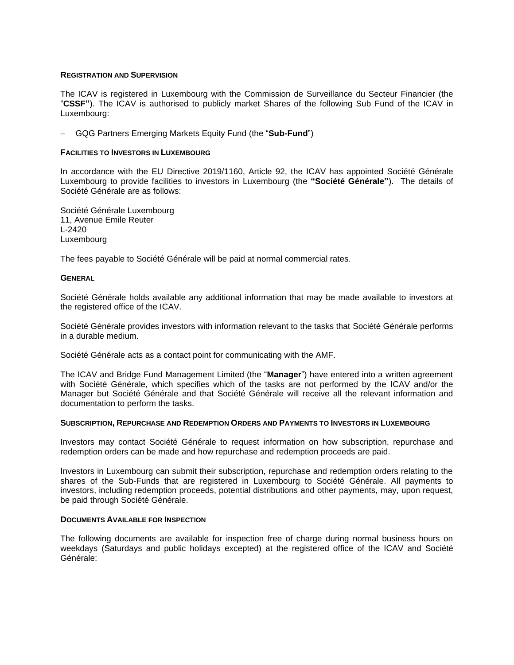#### **REGISTRATION AND SUPERVISION**

The ICAV is registered in Luxembourg with the Commission de Surveillance du Secteur Financier (the "**CSSF"**). The ICAV is authorised to publicly market Shares of the following Sub Fund of the ICAV in Luxembourg:

− GQG Partners Emerging Markets Equity Fund (the "**Sub-Fund**")

### **FACILITIES TO INVESTORS IN LUXEMBOURG**

In accordance with the EU Directive 2019/1160, Article 92, the ICAV has appointed Société Générale Luxembourg to provide facilities to investors in Luxembourg (the **"Société Générale"**). The details of Société Générale are as follows:

Société Générale Luxembourg 11, Avenue Emile Reuter L-2420 Luxembourg

The fees payable to Société Générale will be paid at normal commercial rates.

#### **GENERAL**

Société Générale holds available any additional information that may be made available to investors at the registered office of the ICAV.

Société Générale provides investors with information relevant to the tasks that Société Générale performs in a durable medium.

Société Générale acts as a contact point for communicating with the AMF.

The ICAV and Bridge Fund Management Limited (the "**Manager**") have entered into a written agreement with Société Générale, which specifies which of the tasks are not performed by the ICAV and/or the Manager but Société Générale and that Société Générale will receive all the relevant information and documentation to perform the tasks.

#### **SUBSCRIPTION, REPURCHASE AND REDEMPTION ORDERS AND PAYMENTS TO INVESTORS IN LUXEMBOURG**

Investors may contact Société Générale to request information on how subscription, repurchase and redemption orders can be made and how repurchase and redemption proceeds are paid.

Investors in Luxembourg can submit their subscription, repurchase and redemption orders relating to the shares of the Sub-Funds that are registered in Luxembourg to Société Générale. All payments to investors, including redemption proceeds, potential distributions and other payments, may, upon request, be paid through Société Générale.

#### **DOCUMENTS AVAILABLE FOR INSPECTION**

The following documents are available for inspection free of charge during normal business hours on weekdays (Saturdays and public holidays excepted) at the registered office of the ICAV and Société Générale: